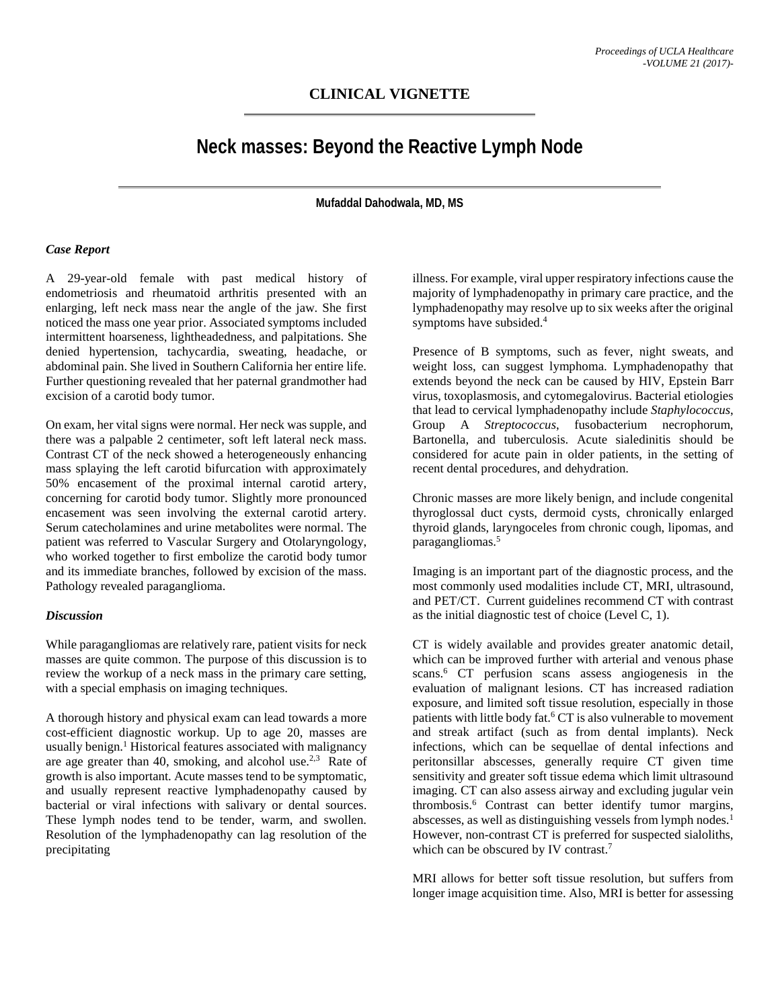## **CLINICAL VIGNETTE**

# **Neck masses: Beyond the Reactive Lymph Node**

**Mufaddal Dahodwala, MD, MS**

#### *Case Report*

A 29-year-old female with past medical history of endometriosis and rheumatoid arthritis presented with an enlarging, left neck mass near the angle of the jaw. She first noticed the mass one year prior. Associated symptoms included intermittent hoarseness, lightheadedness, and palpitations. She denied hypertension, tachycardia, sweating, headache, or abdominal pain. She lived in Southern California her entire life. Further questioning revealed that her paternal grandmother had excision of a carotid body tumor.

On exam, her vital signs were normal. Her neck was supple, and there was a palpable 2 centimeter, soft left lateral neck mass. Contrast CT of the neck showed a heterogeneously enhancing mass splaying the left carotid bifurcation with approximately 50% encasement of the proximal internal carotid artery, concerning for carotid body tumor. Slightly more pronounced encasement was seen involving the external carotid artery. Serum catecholamines and urine metabolites were normal. The patient was referred to Vascular Surgery and Otolaryngology, who worked together to first embolize the carotid body tumor and its immediate branches, followed by excision of the mass. Pathology revealed paraganglioma.

#### *Discussion*

While paragangliomas are relatively rare, patient visits for neck masses are quite common. The purpose of this discussion is to review the workup of a neck mass in the primary care setting, with a special emphasis on imaging techniques.

A thorough history and physical exam can lead towards a more cost-efficient diagnostic workup. Up to age 20, masses are usually benign. <sup>1</sup> Historical features associated with malignancy are age greater than 40, smoking, and alcohol use.<sup>2,3</sup> Rate of growth is also important. Acute masses tend to be symptomatic, and usually represent reactive lymphadenopathy caused by bacterial or viral infections with salivary or dental sources. These lymph nodes tend to be tender, warm, and swollen. Resolution of the lymphadenopathy can lag resolution of the precipitating

illness. For example, viral upper respiratory infections cause the majority of lymphadenopathy in primary care practice, and the lymphadenopathy may resolve up to six weeks after the original symptoms have subsided. 4

Presence of B symptoms, such as fever, night sweats, and weight loss, can suggest lymphoma. Lymphadenopathy that extends beyond the neck can be caused by HIV, Epstein Barr virus, toxoplasmosis, and cytomegalovirus. Bacterial etiologies that lead to cervical lymphadenopathy include *Staphylococcus*, Group A *Streptococcus*, fusobacterium necrophorum, Bartonella, and tuberculosis. Acute sialedinitis should be considered for acute pain in older patients, in the setting of recent dental procedures, and dehydration.

Chronic masses are more likely benign, and include congenital thyroglossal duct cysts, dermoid cysts, chronically enlarged thyroid glands, laryngoceles from chronic cough, lipomas, and paragangliomas. 5

Imaging is an important part of the diagnostic process, and the most commonly used modalities include CT, MRI, ultrasound, and PET/CT. Current guidelines recommend CT with contrast as the initial diagnostic test of choice (Level C, 1).

CT is widely available and provides greater anatomic detail, which can be improved further with arterial and venous phase scans. <sup>6</sup> CT perfusion scans assess angiogenesis in the evaluation of malignant lesions. CT has increased radiation exposure, and limited soft tissue resolution, especially in those patients with little body fat. <sup>6</sup> CT is also vulnerable to movement and streak artifact (such as from dental implants). Neck infections, which can be sequellae of dental infections and peritonsillar abscesses, generally require CT given time sensitivity and greater soft tissue edema which limit ultrasound imaging. CT can also assess airway and excluding jugular vein thrombosis. <sup>6</sup> Contrast can better identify tumor margins, abscesses, as well as distinguishing vessels from lymph nodes. 1 However, non-contrast CT is preferred for suspected sialoliths, which can be obscured by IV contrast.<sup>7</sup>

MRI allows for better soft tissue resolution, but suffers from longer image acquisition time. Also, MRI is better for assessing